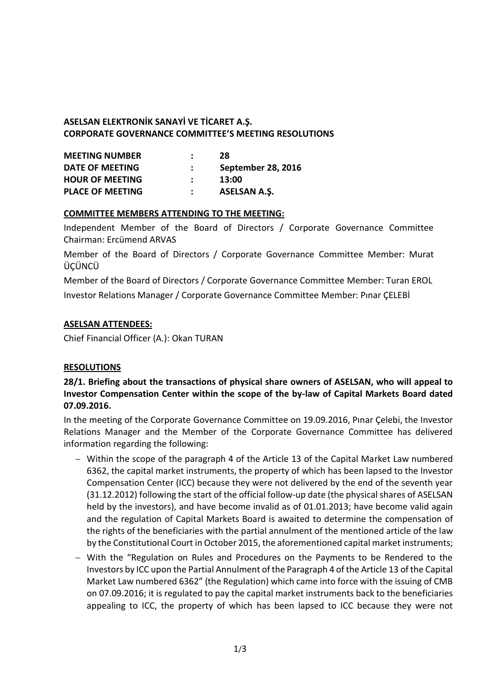# **ASELSAN ELEKTRONİK SANAYİ VE TİCARET A.Ş. CORPORATE GOVERNANCE COMMITTEE'S MEETING RESOLUTIONS**

| <b>MEETING NUMBER</b>   | 28                  |
|-------------------------|---------------------|
| DATE OF MEETING         | September 28, 2016  |
| <b>HOUR OF MEETING</b>  | 13:00               |
| <b>PLACE OF MEETING</b> | <b>ASELSAN A.S.</b> |

### **COMMITTEE MEMBERS ATTENDING TO THE MEETING:**

Independent Member of the Board of Directors / Corporate Governance Committee Chairman: Ercümend ARVAS

Member of the Board of Directors / Corporate Governance Committee Member: Murat **ÜCÜNCÜ** 

Member of the Board of Directors / Corporate Governance Committee Member: Turan EROL Investor Relations Manager / Corporate Governance Committee Member: Pınar ÇELEBİ

### **ASELSAN ATTENDEES:**

Chief Financial Officer (A.): Okan TURAN

#### **RESOLUTIONS**

**28/1. Briefing about the transactions of physical share owners of ASELSAN, who will appeal to Investor Compensation Center within the scope of the by-law of Capital Markets Board dated 07.09.2016.** 

In the meeting of the Corporate Governance Committee on 19.09.2016, Pınar Çelebi, the Investor Relations Manager and the Member of the Corporate Governance Committee has delivered information regarding the following:

- Within the scope of the paragraph 4 of the Article 13 of the Capital Market Law numbered 6362, the capital market instruments, the property of which has been lapsed to the Investor Compensation Center (ICC) because they were not delivered by the end of the seventh year (31.12.2012) following the start of the official follow-up date (the physical shares of ASELSAN held by the investors), and have become invalid as of 01.01.2013; have become valid again and the regulation of Capital Markets Board is awaited to determine the compensation of the rights of the beneficiaries with the partial annulment of the mentioned article of the law by the Constitutional Court in October 2015, the aforementioned capital market instruments;
- With the "Regulation on Rules and Procedures on the Payments to be Rendered to the Investors by ICC upon the Partial Annulment of the Paragraph 4 of the Article 13 of the Capital Market Law numbered 6362" (the Regulation) which came into force with the issuing of CMB on 07.09.2016; it is regulated to pay the capital market instruments back to the beneficiaries appealing to ICC, the property of which has been lapsed to ICC because they were not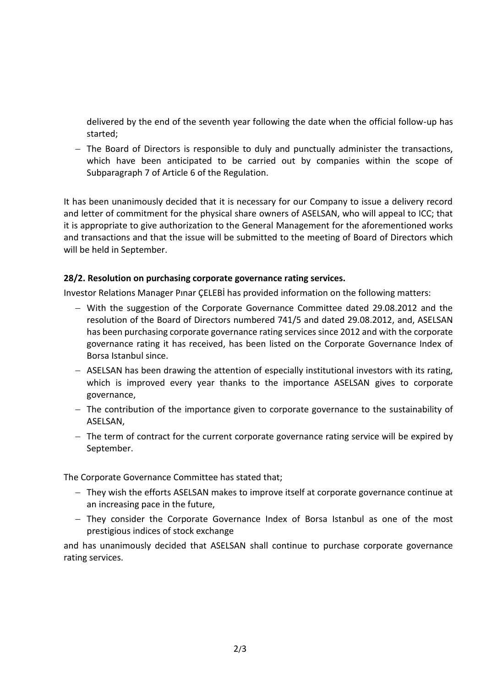delivered by the end of the seventh year following the date when the official follow-up has started;

 $-$  The Board of Directors is responsible to duly and punctually administer the transactions, which have been anticipated to be carried out by companies within the scope of Subparagraph 7 of Article 6 of the Regulation.

It has been unanimously decided that it is necessary for our Company to issue a delivery record and letter of commitment for the physical share owners of ASELSAN, who will appeal to ICC; that it is appropriate to give authorization to the General Management for the aforementioned works and transactions and that the issue will be submitted to the meeting of Board of Directors which will be held in September.

### **28/2. Resolution on purchasing corporate governance rating services.**

Investor Relations Manager Pınar ÇELEBİ has provided information on the following matters:

- With the suggestion of the Corporate Governance Committee dated 29.08.2012 and the resolution of the Board of Directors numbered 741/5 and dated 29.08.2012, and, ASELSAN has been purchasing corporate governance rating services since 2012 and with the corporate governance rating it has received, has been listed on the Corporate Governance Index of Borsa Istanbul since.
- ASELSAN has been drawing the attention of especially institutional investors with its rating, which is improved every year thanks to the importance ASELSAN gives to corporate governance,
- $-$  The contribution of the importance given to corporate governance to the sustainability of ASELSAN,
- $-$  The term of contract for the current corporate governance rating service will be expired by September.

The Corporate Governance Committee has stated that;

- They wish the efforts ASELSAN makes to improve itself at corporate governance continue at an increasing pace in the future,
- They consider the Corporate Governance Index of Borsa Istanbul as one of the most prestigious indices of stock exchange

and has unanimously decided that ASELSAN shall continue to purchase corporate governance rating services.